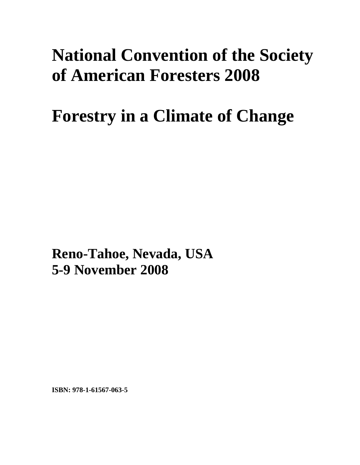## **National Convention of the Society of American Foresters 2008**

## **Forestry in a Climate of Change**

**Reno-Tahoe, Nevada, USA 5-9 November 2008**

**ISBN: 978-1-61567-063-5**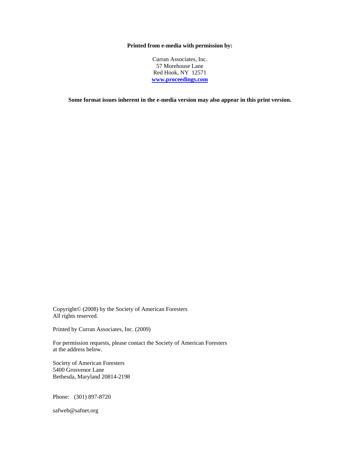## **Printed from e-media with permission by:**

Curran Associates, Inc. 57 Morehouse Lane Red Hook, NY 12571 **[www.proceedings.com](http://www.proceedings.com/)**

**Some format issues inherent in the e-media version may also appear in this print version.** 

Copyright© (2008) by the Society of American Foresters All rights reserved.

Printed by Curran Associates, Inc. (2009)

For permission requests, please contact the Society of American Foresters at the address below.

Society of American Foresters 5400 Grosvenor Lane Bethesda, Maryland 20814-2198

Phone: (301) 897-8720

safweb@safnet.org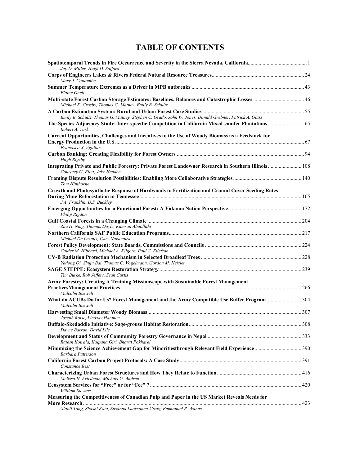## **TABLE OF CONTENTS**

| Jay D. Miller, Hugh D. Safford                                                                                                                        |  |
|-------------------------------------------------------------------------------------------------------------------------------------------------------|--|
| Mary J. Coulombe                                                                                                                                      |  |
| Elaine Oneil                                                                                                                                          |  |
| Multi-state Forest Carbon Storage Estimates: Baselines, Balances and Catastrophic Losses  46<br>Michael K. Crosby, Thomas G. Matney, Emily B. Schultz |  |
|                                                                                                                                                       |  |
| Emily B. Schultz, Thomas G. Matney, Stephen C. Grado, John W. Jones, Donald Grebner, Patrick A. Glass                                                 |  |
| Robert A. York                                                                                                                                        |  |
| Current Opportunities, Challenges and Incentives to the Use of Woody Biomass as a Feedstock for                                                       |  |
| Francisco X. Aguilar                                                                                                                                  |  |
| Hugh Bigsby                                                                                                                                           |  |
| Integrating Private and Public Forestry: Private Forest Landowner Research in Southern Illinois  108<br>Courtney G. Flint, Jake Hendee                |  |
| Tom Hinthorne                                                                                                                                         |  |
| Growth and Photosynthetic Response of Hardwoods to Fertilization and Ground Cover Seeding Rates                                                       |  |
| J.A. Franklin, D.S. Bucklev                                                                                                                           |  |
| Philip Rigdon                                                                                                                                         |  |
|                                                                                                                                                       |  |
| Zhu H. Ning, Thomas Doyle, Kamran Abdollahi                                                                                                           |  |
| Michael De Lasaux, Gary Nakamura                                                                                                                      |  |
| Calder M. Hibbard, Michael A. Kilgore, Paul V. Ellefson                                                                                               |  |
|                                                                                                                                                       |  |
| Yadong Qi, Shuju Bai, Thomas C. Vogelmann, Gordon M. Heisler                                                                                          |  |
| Tim Burke, Rob Jeffers, Sean Curtis                                                                                                                   |  |
| Army Forestry: Creating A Training Missionscape with Sustainable Forest Management                                                                    |  |
| Malcolm Boswell                                                                                                                                       |  |
| What do ACUBs Do for Us? Forest Management and the Army Compatible Use Buffer Program  304<br>Malcolm Boswell                                         |  |
| Joseph Roise, Lindsay Hannum                                                                                                                          |  |
| Dayne Barron, David Lile                                                                                                                              |  |
| Rajesh Koirala, Kalpana Giri, Bharat Pokharel                                                                                                         |  |
| Barbara Patterson                                                                                                                                     |  |
| Constance Best                                                                                                                                        |  |
| Melissa H. Friedman, Michael G. Andreu                                                                                                                |  |
| <b>William Stewart</b>                                                                                                                                |  |
| Measuring the Competitiveness of Canadian Pulp and Paper in the US Market Reveals Needs for                                                           |  |
| Xiaoli Tang, Shashi Kant, Susanna Laaksonen-Craig, Emmanuel R. Asinas                                                                                 |  |